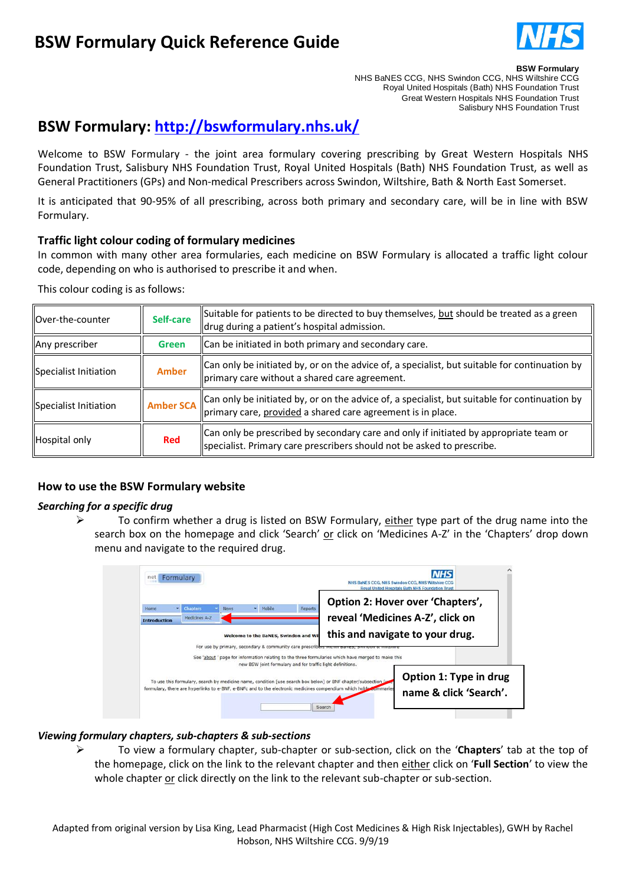# **BSW Formulary Quick Reference Guide**



#### **BSW Formulary**

NHS BaNES CCG, NHS Swindon CCG, NHS Wiltshire CCG Royal United Hospitals (Bath) NHS Foundation Trust Great Western Hospitals NHS Foundation Trust Salisbury NHS Foundation Trust

# **BSW Formulary:<http://bswformulary.nhs.uk/>**

Welcome to BSW Formulary - the joint area formulary covering prescribing by Great Western Hospitals NHS Foundation Trust, Salisbury NHS Foundation Trust, Royal United Hospitals (Bath) NHS Foundation Trust, as well as General Practitioners (GPs) and Non-medical Prescribers across Swindon, Wiltshire, Bath & North East Somerset.

It is anticipated that 90-95% of all prescribing, across both primary and secondary care, will be in line with BSW Formulary.

### **Traffic light colour coding of formulary medicines**

In common with many other area formularies, each medicine on BSW Formulary is allocated a traffic light colour code, depending on who is authorised to prescribe it and when.

This colour coding is as follows:

| Over-the-counter      | Self-care        | Suitable for patients to be directed to buy themselves, but should be treated as a green<br>drug during a patient's hospital admission.                         |  |
|-----------------------|------------------|-----------------------------------------------------------------------------------------------------------------------------------------------------------------|--|
| Any prescriber        | Green            | Can be initiated in both primary and secondary care.                                                                                                            |  |
| Specialist Initiation | <b>Amber</b>     | $\vert$ Can only be initiated by, or on the advice of, a specialist, but suitable for continuation by<br>primary care without a shared care agreement.          |  |
| Specialist Initiation | <b>Amber SCA</b> | Can only be initiated by, or on the advice of, a specialist, but suitable for continuation by<br>primary care, provided a shared care agreement is in place.    |  |
| Hospital only         | <b>Red</b>       | Can only be prescribed by secondary care and only if initiated by appropriate team or<br>specialist. Primary care prescribers should not be asked to prescribe. |  |

# **How to use the BSW Formulary website**

### *Searching for a specific drug*

 $\triangleright$  To confirm whether a drug is listed on BSW Formulary, either type part of the drug name into the search box on the homepage and click 'Search' or click on 'Medicines A-Z' in the 'Chapters' drop down menu and navigate to the required drug.

| Home                | Chapters      | <b>News</b> | · Mobile                                                                                                        | Reports | Option 2: Hover over 'Chapters',                                                                                                     |  |
|---------------------|---------------|-------------|-----------------------------------------------------------------------------------------------------------------|---------|--------------------------------------------------------------------------------------------------------------------------------------|--|
| <b>Introduction</b> | Medicines A-Z |             | reveal 'Medicines A-Z', click on                                                                                |         |                                                                                                                                      |  |
|                     |               |             | Welcome to the BaNES, Swindon and Wi<br>For use by primary, secondary & community care prescribers mann percent |         | this and navigate to your drug.<br>See 'about' page for information relating to the three formularies which have merged to make this |  |
|                     |               |             | new BSW joint formulary and for traffic light definitions.                                                      |         |                                                                                                                                      |  |

### *Viewing formulary chapters, sub-chapters & sub-sections*

 To view a formulary chapter, sub-chapter or sub-section, click on the '**Chapters**' tab at the top of the homepage, click on the link to the relevant chapter and then either click on '**Full Section**' to view the whole chapter or click directly on the link to the relevant sub-chapter or sub-section.